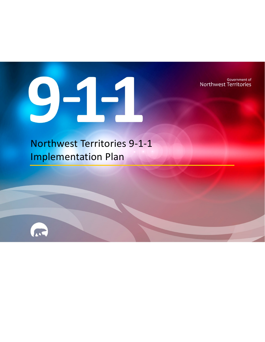Government of Northwest Territories



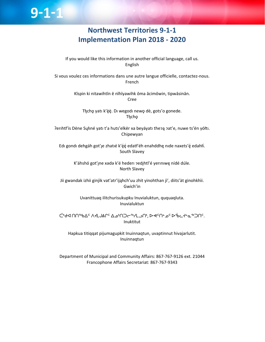## **Northwest Territories 9‐1‐1 Implementation Plan 2018 ‐ 2020**

 $9 - 1 - 1$ 

If you would like this information in another official language, call us. English

Si vous voulez ces informations dans une autre langue officielle, contactez-nous. French

> Kīspin ki nitawihtīn ē nīhīyawihk ōma ācimōwin, tipwāsinān. Cree

Tłįchę yatı k'èè. Di wegodi newę dè, gots'o gonede. Tłıcho

Perihtł'ís Dëne Sųłiné yatı t'a huts'elkër xa beyáyatı theo a pat'e, nuwe ts'ën yółti. Chipewyan

Edı gondı dehgáh got'le zhatié k'éé edatł'éh enahddhę nide naxets'é edahłí. South Slavey

K'áhshó got'ıne xədə k'é hederi zedihtl'é yeriniwę nídé dúle. North Slavey

Jii gwandak izhii ginjìk vat'atr'ijąhch'uu zhit yinohthan jì', diits'àt ginohkhìi. Gwich'in

> Uvanittuaq ilitchurisukupku Inuvialuktun, ququaqluta. Inuvialuktun

ᑖᒃᑯᐊ ᑎᑎᕐᒃᑲᐃᑦ ᐱᔪᒪᒍᕕᒋᑦ ᐃᓄᒃᑎᑐᓕᕐᒃᓯᒪᓗᑎᒃ, ᐅᕙᑦᑎᓐᓄᑦ ᐅᖄᓚᔪᓐᓇᖅᑐᑎᑦ. Inuktitut

Hapkua titiqqat pijumagupkit Inuinnaqtun, uvaptinnut hivajarlutit. Inuinnaqtun

Department of Municipal and Community Affairs: 867‐767‐9126 ext. 21044 Francophone Affairs Secretariat: 867‐767‐9343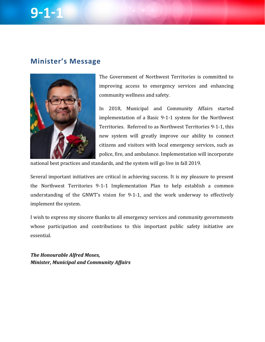### **Minister's Message**



The Government of Northwest Territories is committed to improving access to emergency services and enhancing community wellness and safety.

In 2018, Municipal and Community Affairs started implementation of a Basic 9-1-1 system for the Northwest Territories. Referred to as Northwest Territories 9-1-1, this new system will greatly improve our ability to connect citizens and visitors with local emergency services, such as police, fire, and ambulance. Implementation will incorporate

national best practices and standards, and the system will go live in fall 2019.

Several important initiatives are critical in achieving success. It is my pleasure to present the Northwest Territories 9-1-1 Implementation Plan to help establish a common understanding of the GNWT's vision for  $9-1-1$ , and the work underway to effectively implement the system.

I wish to express my sincere thanks to all emergency services and community governments whose participation and contributions to this important public safety initiative are essential. 

*The Honourable Alfred Moses, Minister, Municipal and Community Affairs*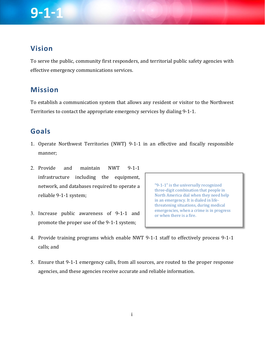## **Vision**

To serve the public, community first responders, and territorial public safety agencies with effective emergency communications services.

### **Mission**

To establish a communication system that allows any resident or visitor to the Northwest Territories to contact the appropriate emergency services by dialing 9-1-1.

### **Goals**

- 1. Operate Northwest Territories (NWT) 9-1-1 in an effective and fiscally responsible manner;
- 2. Provide and maintain NWT 9-1-1 infrastructure including the equipment, network, and databases required to operate a reliable 9-1-1 system;
- 3. Increase public awareness of 9-1-1 and promote the proper use of the 9-1-1 system;

"9-1-1" is the universally recognized three-digit combination that people in North America dial when they need help in an emergency. It is dialed in lifethreatening situations, during medical emergencies, when a crime is in progress or when there is a fire.

- 4. Provide training programs which enable NWT 9-1-1 staff to effectively process 9-1-1 calls; and
- 5. Ensure that 9-1-1 emergency calls, from all sources, are routed to the proper response agencies, and these agencies receive accurate and reliable information.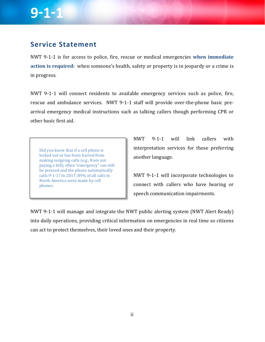## **Service Statement**

NWT 9-1-1 is for access to police, fire, rescue or medical emergencies when immediate **action** is **required**: when someone's health, safety or property is in jeopardy or a crime is in progress.

NWT 9-1-1 will connect residents to available emergency services such as police, fire, rescue and ambulance services. NWT 9-1-1 staff will provide over-the-phone basic prearrival emergency medical instructions such as talking callers though performing CPR or other basic first aid.

Did you know that if a cell phone is locked out or has been barred from making outgoing calls (e.g., from not paying a bill), often "emergency" can still be pressed and the phone automatically calls 9-1-1? In 2017, 89% of all calls in North America were made by cell phones. 

NWT 9-1-1 will link callers with interpretation services for those preferring another language.

NWT 9-1-1 will incorporate technologies to connect with callers who have hearing or speech communication impairments.

NWT 9-1-1 will manage and integrate the NWT public alerting system (NWT Alert Ready) into daily operations, providing critical information on emergencies in real time so citizens can act to protect themselves, their loved ones and their property.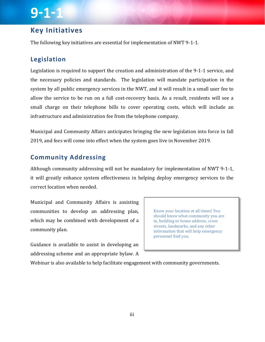### **Key Initiatives**

The following key initiatives are essential for implementation of NWT 9-1-1.

### **Legislation**

Legislation is required to support the creation and administration of the  $9-1-1$  service, and the necessary policies and standards. The legislation will mandate participation in the system by all public emergency services in the NWT, and it will result in a small user fee to allow the service to be run on a full cost-recovery basis. As a result, residents will see a small charge on their telephone bills to cover operating costs, which will include an infrastructure and administration fee from the telephone company.

Municipal and Community Affairs anticipates bringing the new legislation into force in fall 2019, and fees will come into effect when the system goes live in November 2019.

#### **Community Addressing**

Although community addressing will not be mandatory for implementation of NWT 9-1-1, it will greatly enhance system effectiveness in helping deploy emergency services to the correct location when needed.

Municipal and Community Affairs is assisting communities to develop an addressing plan, which may be combined with development of a community plan.

Know your location at all times! You should know what community you are in, building or home address, cross streets, landmarks, and any other information that will help emergency personnel find you.

Guidance is available to assist in developing an addressing scheme and an appropriate bylaw. A

Webinar is also available to help facilitate engagement with community governments.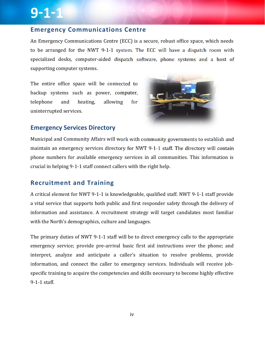#### **Emergency Communications Centre**

An Emergency Communications Centre (ECC) is a secure, robust office space, which needs to be arranged for the NWT 9-1-1 system. The ECC will have a dispatch room with specialized desks, computer-aided dispatch software, phone systems and a host of supporting computer systems.

The entire office space will be connected to backup systems such as power, computer, telephone and heating, allowing for uninterrupted services.



#### **Emergency Services Directory**

Municipal and Community Affairs will work with community governments to establish and maintain an emergency services directory for NWT 9-1-1 staff. The directory will contain phone numbers for available emergency services in all communities. This information is crucial in helping  $9-1-1$  staff connect callers with the right help.

### **Recruitment and Training**

A critical element for NWT 9-1-1 is knowledgeable, qualified staff. NWT 9-1-1 staff provide a vital service that supports both public and first responder safety through the delivery of information and assistance. A recruitment strategy will target candidates most familiar with the North's demographics, culture and languages.

The primary duties of NWT 9-1-1 staff will be to direct emergency calls to the appropriate emergency service; provide pre-arrival basic first aid instructions over the phone; and interpret, analyze and anticipate a caller's situation to resolve problems, provide information, and connect the caller to emergency services. Individuals will receive jobspecific training to acquire the competencies and skills necessary to become highly effective 9-1-1 staff.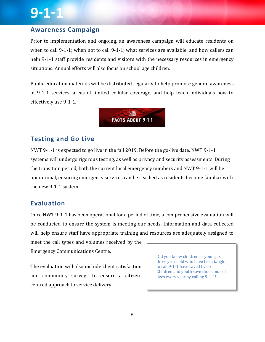### **Awareness Campaign**

Prior to implementation and ongoing, an awareness campaign will educate residents on when to call 9-1-1; when not to call 9-1-1; what services are available; and how callers can help 9-1-1 staff provide residents and visitors with the necessary resources in emergency situations. Annual efforts will also focus on school age children.

Public education materials will be distributed regularly to help promote general awareness of 9-1-1 services, areas of limited cellular coverage, and help teach individuals how to effectively use 9-1-1.



#### **Testing and Go Live**

NWT 9-1-1 is expected to go live in the fall 2019. Before the go-live date, NWT 9-1-1 systems will undergo rigorous testing, as well as privacy and security assessments. During the transition period, both the current local emergency numbers and NWT 9-1-1 will be operational, ensuring emergency services can be reached as residents become familiar with the new 9-1-1 system.

#### **Evaluation**

Once NWT 9-1-1 has been operational for a period of time, a comprehensive evaluation will be conducted to ensure the system is meeting our needs. Information and data collected will help ensure staff have appropriate training and resources are adequately assigned to

meet the call types and volumes received by the Emergency Communications Centre. 

The evaluation will also include client satisfaction and community surveys to ensure a citizencentred approach to service delivery.

Did you know children as young as three years old who have been taught to call 9-1-1 have saved lives? Children and youth save thousands of lives every year by calling 9-1-1!